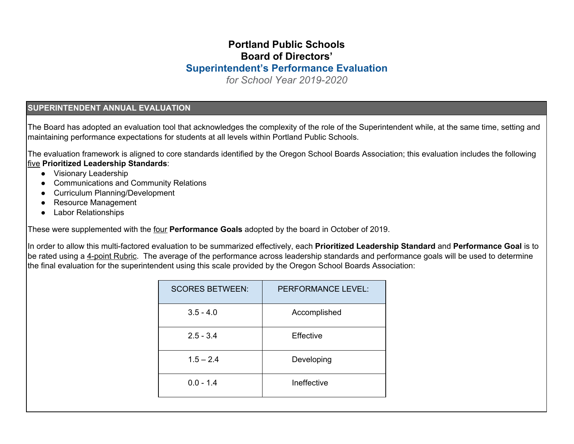## **Portland Public Schools Board of Directors' Superintendent's Performance Evaluation**

*for School Year 2019-2020*

#### **SUPERINTENDENT ANNUAL EVALUATION**

The Board has adopted an evaluation tool that acknowledges the complexity of the role of the Superintendent while, at the same time, setting and maintaining performance expectations for students at all levels within Portland Public Schools.

The evaluation framework is aligned to core standards identified by the Oregon School Boards Association; this evaluation includes the following five **Prioritized Leadership Standards**:

- Visionary Leadership
- Communications and Community Relations
- Curriculum Planning/Development
- Resource Management
- Labor Relationships

These were supplemented with the four **Performance Goals** adopted by the board in October of 2019.

In order to allow this multi-factored evaluation to be summarized effectively, each **Prioritized Leadership Standard** and **Performance Goal** is to be rated using a 4-point Rubric. The average of the performance across leadership standards and performance goals will be used to determine the final evaluation for the superintendent using this scale provided by the Oregon School Boards Association:

| <b>SCORES BETWEEN:</b> | PERFORMANCE LEVEL: |
|------------------------|--------------------|
| $3.5 - 4.0$            | Accomplished       |
| $2.5 - 3.4$            | Effective          |
| $1.5 - 2.4$            | Developing         |
| $0.0 - 1.4$            | Ineffective        |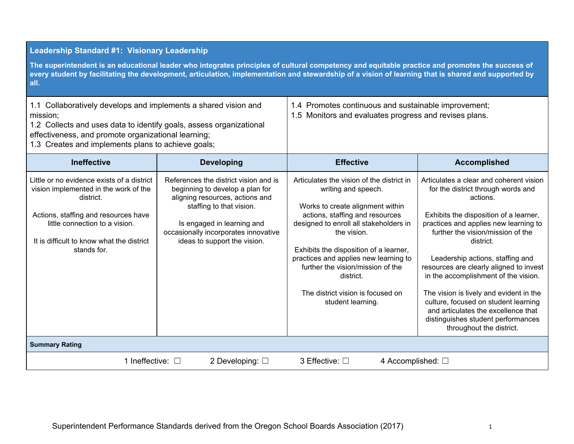#### **Leadership Standard #1: Visionary Leadership** The superintendent is an educational leader who integrates principles of cultural competency and equitable practice and promotes the success of every student by facilitating the development, articulation, implementation and stewardship of a vision of learning that is shared and supported by **all.** 1.1 Collaboratively develops and implements a shared vision and mission; 1.2 Collects and uses data to identify goals, assess organizational effectiveness, and promote organizational learning; 1.3 Creates and implements plans to achieve goals; 1.4 Promotes continuous and sustainable improvement; 1.5 Monitors and evaluates progress and revises plans. **Ineffective Developing Effective Accomplished** Little or no evidence exists of a district vision implemented in the work of the district. Actions, staffing and resources have little connection to a vision. It is difficult to know what the district stands for. References the district vision and is beginning to develop a plan for aligning resources, actions and staffing to that vision. Is engaged in learning and occasionally incorporates innovative ideas to support the vision. Articulates the vision of the district in writing and speech. Works to create alignment within actions, staffing and resources designed to enroll all stakeholders in the vision. Exhibits the disposition of a learner, practices and applies new learning to further the vision/mission of the district. The district vision is focused on student learning. Articulates a clear and coherent vision for the district through words and actions. Exhibits the disposition of a learner, practices and applies new learning to further the vision/mission of the district. Leadership actions, staffing and resources are clearly aligned to invest in the accomplishment of the vision. The vision is lively and evident in the culture, focused on student learning and articulates the excellence that distinguishes student performances throughout the district. **Summary Rating** 1 Ineffective: □ 2 Developing: □ 3 Effective: □ 4 Accomplished: □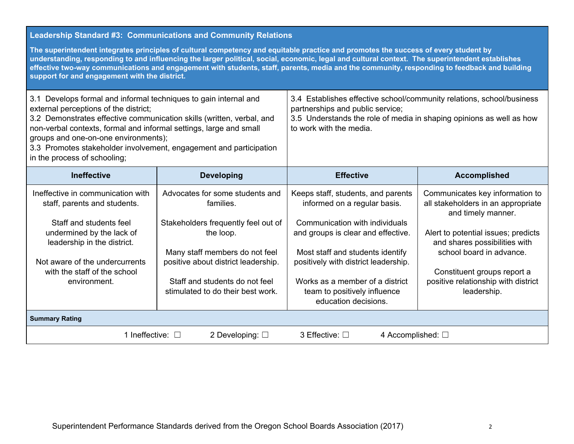## **Leadership Standard #3: Communications and Community Relations**

The superintendent integrates principles of cultural competency and equitable practice and promotes the success of every student by understanding, responding to and influencing the larger political, social, economic, legal and cultural context. The superintendent establishes effective two-way communications and engagement with students, staff, parents, media and the community, responding to feedback and building **support for and engagement with the district.**

| 3.1 Develops formal and informal techniques to gain internal and<br>external perceptions of the district;<br>3.2 Demonstrates effective communication skills (written, verbal, and<br>non-verbal contexts, formal and informal settings, large and small<br>groups and one-on-one environments);<br>3.3 Promotes stakeholder involvement, engagement and participation<br>in the process of schooling; |                                                                                                                                                                                                                                                  | 3.4 Establishes effective school/community relations, school/business<br>partnerships and public service;<br>3.5 Understands the role of media in shaping opinions as well as how<br>to work with the media.                                                                                                      |                                                                                                                                                                                                                                                                                      |  |
|--------------------------------------------------------------------------------------------------------------------------------------------------------------------------------------------------------------------------------------------------------------------------------------------------------------------------------------------------------------------------------------------------------|--------------------------------------------------------------------------------------------------------------------------------------------------------------------------------------------------------------------------------------------------|-------------------------------------------------------------------------------------------------------------------------------------------------------------------------------------------------------------------------------------------------------------------------------------------------------------------|--------------------------------------------------------------------------------------------------------------------------------------------------------------------------------------------------------------------------------------------------------------------------------------|--|
| <b>Ineffective</b>                                                                                                                                                                                                                                                                                                                                                                                     | <b>Developing</b>                                                                                                                                                                                                                                | <b>Effective</b>                                                                                                                                                                                                                                                                                                  | <b>Accomplished</b>                                                                                                                                                                                                                                                                  |  |
| Ineffective in communication with<br>staff, parents and students.<br>Staff and students feel<br>undermined by the lack of<br>leadership in the district.<br>Not aware of the undercurrents<br>with the staff of the school<br>environment.                                                                                                                                                             | Advocates for some students and<br>families.<br>Stakeholders frequently feel out of<br>the loop.<br>Many staff members do not feel<br>positive about district leadership.<br>Staff and students do not feel<br>stimulated to do their best work. | Keeps staff, students, and parents<br>informed on a regular basis.<br>Communication with individuals<br>and groups is clear and effective.<br>Most staff and students identify<br>positively with district leadership.<br>Works as a member of a district<br>team to positively influence<br>education decisions. | Communicates key information to<br>all stakeholders in an appropriate<br>and timely manner.<br>Alert to potential issues; predicts<br>and shares possibilities with<br>school board in advance.<br>Constituent groups report a<br>positive relationship with district<br>leadership. |  |
| <b>Summary Rating</b>                                                                                                                                                                                                                                                                                                                                                                                  |                                                                                                                                                                                                                                                  |                                                                                                                                                                                                                                                                                                                   |                                                                                                                                                                                                                                                                                      |  |
| 1 Ineffective: □                                                                                                                                                                                                                                                                                                                                                                                       | 2 Developing: $\square$                                                                                                                                                                                                                          | 3 Effective: □<br>4 Accomplished: $\square$                                                                                                                                                                                                                                                                       |                                                                                                                                                                                                                                                                                      |  |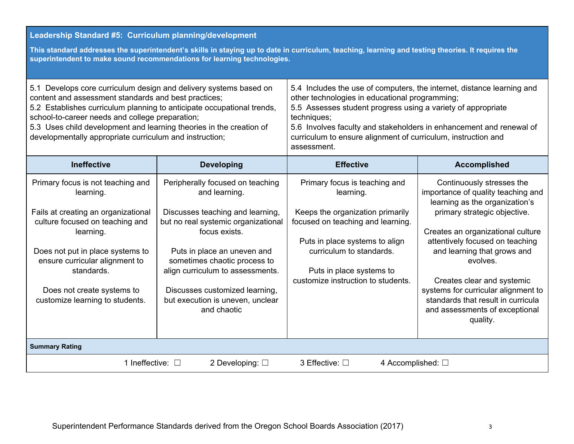### **Leadership Standard #5: Curriculum planning/development**

This standard addresses the superintendent's skills in staying up to date in curriculum, teaching, learning and testing theories. It requires the **superintendent to make sound recommendations for learning technologies.**

| 5.1 Develops core curriculum design and delivery systems based on<br>content and assessment standards and best practices;<br>5.2 Establishes curriculum planning to anticipate occupational trends,<br>school-to-career needs and college preparation;<br>5.3 Uses child development and learning theories in the creation of<br>developmentally appropriate curriculum and instruction; |                                                                                                 | 5.4 Includes the use of computers, the internet, distance learning and<br>other technologies in educational programming;<br>5.5 Assesses student progress using a variety of appropriate<br>techniques;<br>5.6 Involves faculty and stakeholders in enhancement and renewal of<br>curriculum to ensure alignment of curriculum, instruction and<br>assessment. |                                                                                                   |  |
|------------------------------------------------------------------------------------------------------------------------------------------------------------------------------------------------------------------------------------------------------------------------------------------------------------------------------------------------------------------------------------------|-------------------------------------------------------------------------------------------------|----------------------------------------------------------------------------------------------------------------------------------------------------------------------------------------------------------------------------------------------------------------------------------------------------------------------------------------------------------------|---------------------------------------------------------------------------------------------------|--|
| <b>Ineffective</b>                                                                                                                                                                                                                                                                                                                                                                       | <b>Developing</b>                                                                               | <b>Effective</b>                                                                                                                                                                                                                                                                                                                                               | <b>Accomplished</b>                                                                               |  |
| Primary focus is not teaching and<br>learning.                                                                                                                                                                                                                                                                                                                                           | Peripherally focused on teaching<br>and learning.                                               | Primary focus is teaching and<br>learning.                                                                                                                                                                                                                                                                                                                     | Continuously stresses the<br>importance of quality teaching and<br>learning as the organization's |  |
| Fails at creating an organizational<br>culture focused on teaching and                                                                                                                                                                                                                                                                                                                   | Discusses teaching and learning,<br>but no real systemic organizational                         | Keeps the organization primarily<br>focused on teaching and learning.                                                                                                                                                                                                                                                                                          | primary strategic objective.                                                                      |  |
| learning.                                                                                                                                                                                                                                                                                                                                                                                | focus exists.                                                                                   | Puts in place systems to align                                                                                                                                                                                                                                                                                                                                 | Creates an organizational culture<br>attentively focused on teaching                              |  |
| Does not put in place systems to<br>ensure curricular alignment to<br>standards.                                                                                                                                                                                                                                                                                                         | Puts in place an uneven and<br>sometimes chaotic process to<br>align curriculum to assessments. | curriculum to standards.<br>Puts in place systems to                                                                                                                                                                                                                                                                                                           | and learning that grows and<br>evolves.                                                           |  |
| Does not create systems to                                                                                                                                                                                                                                                                                                                                                               | Discusses customized learning,                                                                  | customize instruction to students.                                                                                                                                                                                                                                                                                                                             | Creates clear and systemic<br>systems for curricular alignment to                                 |  |
| customize learning to students.                                                                                                                                                                                                                                                                                                                                                          | but execution is uneven, unclear<br>and chaotic                                                 |                                                                                                                                                                                                                                                                                                                                                                | standards that result in curricula<br>and assessments of exceptional<br>quality.                  |  |
| <b>Summary Rating</b>                                                                                                                                                                                                                                                                                                                                                                    |                                                                                                 |                                                                                                                                                                                                                                                                                                                                                                |                                                                                                   |  |
| 2 Developing: $\square$<br>1 Ineffective: $\square$<br>3 Effective: □<br>4 Accomplished: $\Box$                                                                                                                                                                                                                                                                                          |                                                                                                 |                                                                                                                                                                                                                                                                                                                                                                |                                                                                                   |  |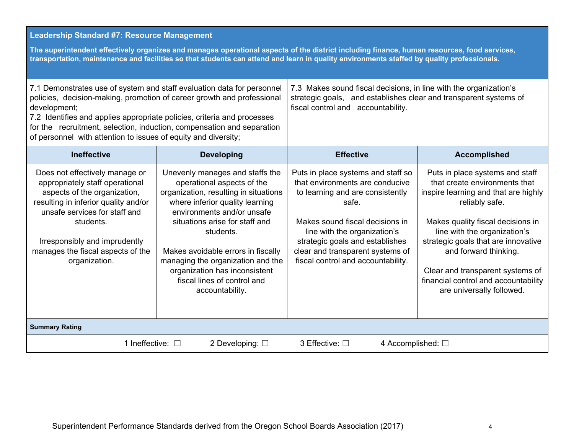#### **Leadership Standard #7: Resource Management**

The superintendent effectively organizes and manages operational aspects of the district including finance, human resources, food services, transportation, maintenance and facilities so that students can attend and learn in quality environments staffed by quality professionals.

| 7.1 Demonstrates use of system and staff evaluation data for personnel<br>policies, decision-making, promotion of career growth and professional<br>development;<br>7.2 Identifies and applies appropriate policies, criteria and processes<br>for the recruitment, selection, induction, compensation and separation<br>of personnel with attention to issues of equity and diversity; |                                                                                                                                                                                                                                                                                                                                                                                      | 7.3 Makes sound fiscal decisions, in line with the organization's<br>strategic goals, and establishes clear and transparent systems of<br>fiscal control and accountability.                                                                                                                       |                                                                                                                                                                                                                                                                                                                                                                          |  |
|-----------------------------------------------------------------------------------------------------------------------------------------------------------------------------------------------------------------------------------------------------------------------------------------------------------------------------------------------------------------------------------------|--------------------------------------------------------------------------------------------------------------------------------------------------------------------------------------------------------------------------------------------------------------------------------------------------------------------------------------------------------------------------------------|----------------------------------------------------------------------------------------------------------------------------------------------------------------------------------------------------------------------------------------------------------------------------------------------------|--------------------------------------------------------------------------------------------------------------------------------------------------------------------------------------------------------------------------------------------------------------------------------------------------------------------------------------------------------------------------|--|
| <b>Ineffective</b>                                                                                                                                                                                                                                                                                                                                                                      | <b>Developing</b>                                                                                                                                                                                                                                                                                                                                                                    | <b>Effective</b>                                                                                                                                                                                                                                                                                   | <b>Accomplished</b>                                                                                                                                                                                                                                                                                                                                                      |  |
| Does not effectively manage or<br>appropriately staff operational<br>aspects of the organization,<br>resulting in inferior quality and/or<br>unsafe services for staff and<br>students.<br>Irresponsibly and imprudently<br>manages the fiscal aspects of the<br>organization.                                                                                                          | Unevenly manages and staffs the<br>operational aspects of the<br>organization, resulting in situations<br>where inferior quality learning<br>environments and/or unsafe<br>situations arise for staff and<br>students.<br>Makes avoidable errors in fiscally<br>managing the organization and the<br>organization has inconsistent<br>fiscal lines of control and<br>accountability. | Puts in place systems and staff so<br>that environments are conducive<br>to learning and are consistently<br>safe.<br>Makes sound fiscal decisions in<br>line with the organization's<br>strategic goals and establishes<br>clear and transparent systems of<br>fiscal control and accountability. | Puts in place systems and staff<br>that create environments that<br>inspire learning and that are highly<br>reliably safe.<br>Makes quality fiscal decisions in<br>line with the organization's<br>strategic goals that are innovative<br>and forward thinking.<br>Clear and transparent systems of<br>financial control and accountability<br>are universally followed. |  |
| <b>Summary Rating</b>                                                                                                                                                                                                                                                                                                                                                                   |                                                                                                                                                                                                                                                                                                                                                                                      |                                                                                                                                                                                                                                                                                                    |                                                                                                                                                                                                                                                                                                                                                                          |  |
| 1 Ineffective: $\square$<br>2 Developing: $\square$                                                                                                                                                                                                                                                                                                                                     |                                                                                                                                                                                                                                                                                                                                                                                      | 4 Accomplished: $\Box$<br>3 Effective: □                                                                                                                                                                                                                                                           |                                                                                                                                                                                                                                                                                                                                                                          |  |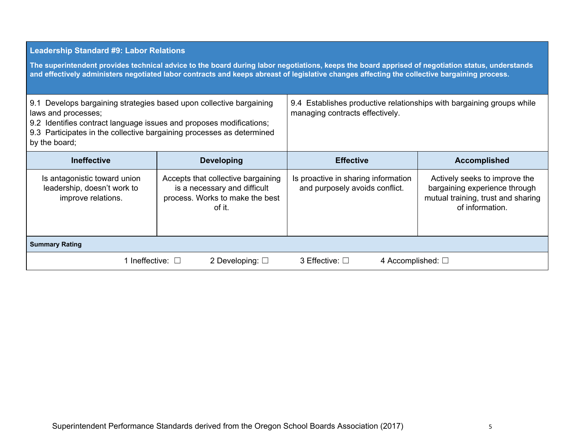#### **Leadership Standard #9: Labor Relations**

The superintendent provides technical advice to the board during labor negotiations, keeps the board apprised of negotiation status, understands and effectively administers negotiated labor contracts and keeps abreast of legislative changes affecting the collective bargaining process.

| 9.1 Develops bargaining strategies based upon collective bargaining<br>laws and processes;<br>9.2 Identifies contract language issues and proposes modifications;<br>9.3 Participates in the collective bargaining processes as determined<br>by the board; |                                                                                                                 | 9.4 Establishes productive relationships with bargaining groups while<br>managing contracts effectively. |                                                                                                                         |  |
|-------------------------------------------------------------------------------------------------------------------------------------------------------------------------------------------------------------------------------------------------------------|-----------------------------------------------------------------------------------------------------------------|----------------------------------------------------------------------------------------------------------|-------------------------------------------------------------------------------------------------------------------------|--|
| <b>Ineffective</b>                                                                                                                                                                                                                                          | <b>Developing</b>                                                                                               | <b>Effective</b>                                                                                         | <b>Accomplished</b>                                                                                                     |  |
| Is antagonistic toward union<br>leadership, doesn't work to<br>improve relations.                                                                                                                                                                           | Accepts that collective bargaining<br>is a necessary and difficult<br>process. Works to make the best<br>of it. | Is proactive in sharing information<br>and purposely avoids conflict.                                    | Actively seeks to improve the<br>bargaining experience through<br>mutual training, trust and sharing<br>of information. |  |
| <b>Summary Rating</b>                                                                                                                                                                                                                                       |                                                                                                                 |                                                                                                          |                                                                                                                         |  |
| 1 Ineffective: $\square$<br>2 Developing: $\square$                                                                                                                                                                                                         |                                                                                                                 | 3 Effective: $\square$<br>4 Accomplished: $\Box$                                                         |                                                                                                                         |  |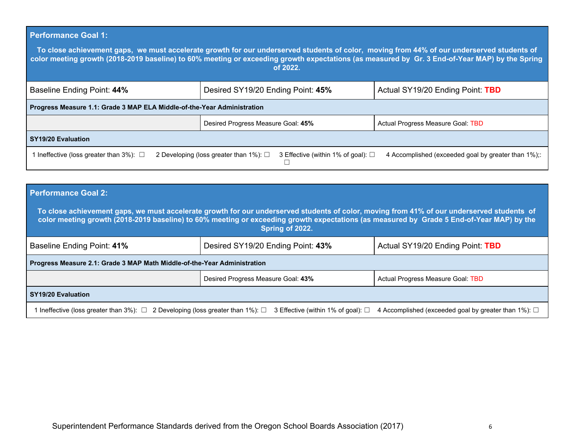### **Performance Goal 1:**

To close achievement gaps, we must accelerate growth for our underserved students of color, moving from 44% of our underserved students of color meeting growth (2018-2019 baseline) to 60% meeting or exceeding growth expectations (as measured by Gr. 3 End-of-Year MAP) by the Spring **of 2022.**

| Baseline Ending Point: 44%                                              | Desired SY19/20 Ending Point: 45%                                                      | Actual SY19/20 Ending Point: TBD                   |  |  |  |
|-------------------------------------------------------------------------|----------------------------------------------------------------------------------------|----------------------------------------------------|--|--|--|
| Progress Measure 1.1: Grade 3 MAP ELA Middle-of-the-Year Administration |                                                                                        |                                                    |  |  |  |
|                                                                         | Desired Progress Measure Goal: 45%                                                     | Actual Progress Measure Goal: TBD                  |  |  |  |
| <b>SY19/20 Evaluation</b>                                               |                                                                                        |                                                    |  |  |  |
| 1 Ineffective (loss greater than 3%): $\Box$                            | 2 Developing (loss greater than 1%): $\Box$<br>3 Effective (within 1% of goal): $\Box$ | 4 Accomplished (exceeded goal by greater than 1%); |  |  |  |

| <b>Performance Goal 2:</b>                                                                                                                                                                                                                                                                                 |                                    |                                   |  |  |  |
|------------------------------------------------------------------------------------------------------------------------------------------------------------------------------------------------------------------------------------------------------------------------------------------------------------|------------------------------------|-----------------------------------|--|--|--|
| To close achievement gaps, we must accelerate growth for our underserved students of color, moving from 41% of our underserved students of<br>color meeting growth (2018-2019 baseline) to 60% meeting or exceeding growth expectations (as measured by Grade 5 End-of-Year MAP) by the<br>Spring of 2022. |                                    |                                   |  |  |  |
| Baseline Ending Point: 41%                                                                                                                                                                                                                                                                                 | Desired SY19/20 Ending Point: 43%  | Actual SY19/20 Ending Point: TBD  |  |  |  |
| Progress Measure 2.1: Grade 3 MAP Math Middle-of-the-Year Administration                                                                                                                                                                                                                                   |                                    |                                   |  |  |  |
|                                                                                                                                                                                                                                                                                                            | Desired Progress Measure Goal: 43% | Actual Progress Measure Goal: TBD |  |  |  |
| <b>SY19/20 Evaluation</b>                                                                                                                                                                                                                                                                                  |                                    |                                   |  |  |  |
| Ineffective (loss greater than 3%): $\square$ 2 Developing (loss greater than 1%): $\square$<br>3 Effective (within 1% of goal): $\Box$<br>4 Accomplished (exceeded goal by greater than 1%): $\Box$                                                                                                       |                                    |                                   |  |  |  |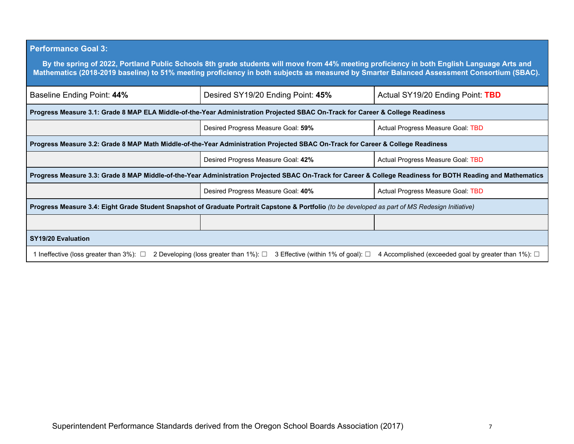# **Performance Goal 3:**

| By the spring of 2022, Portland Public Schools 8th grade students will move from 44% meeting proficiency in both English Language Arts and<br>Mathematics (2018-2019 baseline) to 51% meeting proficiency in both subjects as measured by Smarter Balanced Assessment Consortium (SBAC). |                                                                                                                                |                                   |  |  |  |
|------------------------------------------------------------------------------------------------------------------------------------------------------------------------------------------------------------------------------------------------------------------------------------------|--------------------------------------------------------------------------------------------------------------------------------|-----------------------------------|--|--|--|
| Baseline Ending Point: 44%                                                                                                                                                                                                                                                               | Desired SY19/20 Ending Point: 45%<br>Actual SY19/20 Ending Point: TBD                                                          |                                   |  |  |  |
|                                                                                                                                                                                                                                                                                          | Progress Measure 3.1: Grade 8 MAP ELA Middle-of-the-Year Administration Projected SBAC On-Track for Career & College Readiness |                                   |  |  |  |
|                                                                                                                                                                                                                                                                                          | Desired Progress Measure Goal: 59%                                                                                             | Actual Progress Measure Goal: TBD |  |  |  |
| Progress Measure 3.2: Grade 8 MAP Math Middle-of-the-Year Administration Projected SBAC On-Track for Career & College Readiness                                                                                                                                                          |                                                                                                                                |                                   |  |  |  |
| Desired Progress Measure Goal: 42%<br>Actual Progress Measure Goal: TBD                                                                                                                                                                                                                  |                                                                                                                                |                                   |  |  |  |
| Progress Measure 3.3: Grade 8 MAP Middle-of-the-Year Administration Projected SBAC On-Track for Career & College Readiness for BOTH Reading and Mathematics                                                                                                                              |                                                                                                                                |                                   |  |  |  |
|                                                                                                                                                                                                                                                                                          | Desired Progress Measure Goal: 40%                                                                                             | Actual Progress Measure Goal: TBD |  |  |  |
| Progress Measure 3.4: Eight Grade Student Snapshot of Graduate Portrait Capstone & Portfolio (to be developed as part of MS Redesign Initiative)                                                                                                                                         |                                                                                                                                |                                   |  |  |  |
|                                                                                                                                                                                                                                                                                          |                                                                                                                                |                                   |  |  |  |
| <b>SY19/20 Evaluation</b>                                                                                                                                                                                                                                                                |                                                                                                                                |                                   |  |  |  |
| 1 Ineffective (loss greater than $3\%$ ): $\Box$<br>2 Developing (loss greater than 1%): $\square$<br>3 Effective (within 1% of goal): $\square$<br>4 Accomplished (exceeded goal by greater than 1%): $\square$                                                                         |                                                                                                                                |                                   |  |  |  |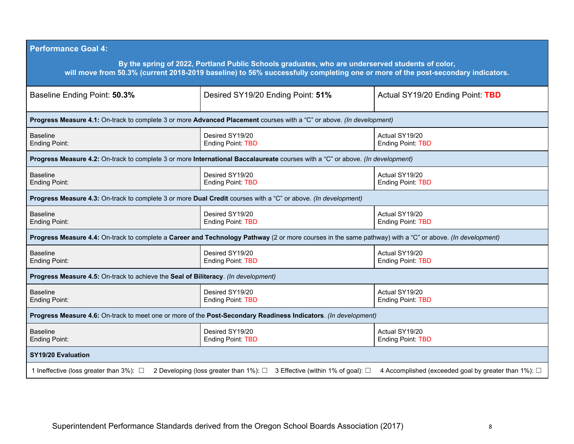| <b>Performance Goal 4:</b>                                                                                                                                                                                                         |                                                                                                                                                  |                                            |  |  |  |
|------------------------------------------------------------------------------------------------------------------------------------------------------------------------------------------------------------------------------------|--------------------------------------------------------------------------------------------------------------------------------------------------|--------------------------------------------|--|--|--|
| By the spring of 2022, Portland Public Schools graduates, who are underserved students of color,<br>will move from 50.3% (current 2018-2019 baseline) to 56% successfully completing one or more of the post-secondary indicators. |                                                                                                                                                  |                                            |  |  |  |
| Baseline Ending Point: 50.3%                                                                                                                                                                                                       | Desired SY19/20 Ending Point: 51%<br>Actual SY19/20 Ending Point: TBD                                                                            |                                            |  |  |  |
|                                                                                                                                                                                                                                    | Progress Measure 4.1: On-track to complete 3 or more Advanced Placement courses with a "C" or above. (In development)                            |                                            |  |  |  |
| <b>Baseline</b><br><b>Ending Point:</b>                                                                                                                                                                                            | Desired SY19/20<br><b>Ending Point: TBD</b>                                                                                                      | Actual SY19/20<br><b>Ending Point: TBD</b> |  |  |  |
|                                                                                                                                                                                                                                    | Progress Measure 4.2: On-track to complete 3 or more International Baccalaureate courses with a "C" or above. (In development)                   |                                            |  |  |  |
| <b>Baseline</b><br><b>Ending Point:</b>                                                                                                                                                                                            | Desired SY19/20<br><b>Ending Point: TBD</b>                                                                                                      | Actual SY19/20<br><b>Ending Point: TBD</b> |  |  |  |
| Progress Measure 4.3: On-track to complete 3 or more Dual Credit courses with a "C" or above. (In development)                                                                                                                     |                                                                                                                                                  |                                            |  |  |  |
| <b>Baseline</b><br><b>Ending Point:</b>                                                                                                                                                                                            | Desired SY19/20<br>Actual SY19/20<br><b>Ending Point: TBD</b><br><b>Ending Point: TBD</b>                                                        |                                            |  |  |  |
| Progress Measure 4.4: On-track to complete a Career and Technology Pathway (2 or more courses in the same pathway) with a "C" or above. (In development)                                                                           |                                                                                                                                                  |                                            |  |  |  |
| <b>Baseline</b><br><b>Ending Point:</b>                                                                                                                                                                                            | Desired SY19/20<br><b>Ending Point: TBD</b>                                                                                                      | Actual SY19/20<br><b>Ending Point: TBD</b> |  |  |  |
| Progress Measure 4.5: On-track to achieve the Seal of Biliteracy. (In development)                                                                                                                                                 |                                                                                                                                                  |                                            |  |  |  |
| <b>Baseline</b><br><b>Ending Point:</b>                                                                                                                                                                                            | Desired SY19/20<br><b>Ending Point: TBD</b>                                                                                                      | Actual SY19/20<br><b>Ending Point: TBD</b> |  |  |  |
| Progress Measure 4.6: On-track to meet one or more of the Post-Secondary Readiness Indicators. (In development)                                                                                                                    |                                                                                                                                                  |                                            |  |  |  |
| <b>Baseline</b><br><b>Ending Point:</b>                                                                                                                                                                                            | Desired SY19/20<br><b>Ending Point: TBD</b>                                                                                                      | Actual SY19/20<br><b>Ending Point: TBD</b> |  |  |  |
| SY19/20 Evaluation                                                                                                                                                                                                                 |                                                                                                                                                  |                                            |  |  |  |
| 1 Ineffective (loss greater than $3\%$ ): $\Box$                                                                                                                                                                                   | 4 Accomplished (exceeded goal by greater than 1%): $\Box$<br>2 Developing (loss greater than 1%): $\Box$ 3 Effective (within 1% of goal): $\Box$ |                                            |  |  |  |